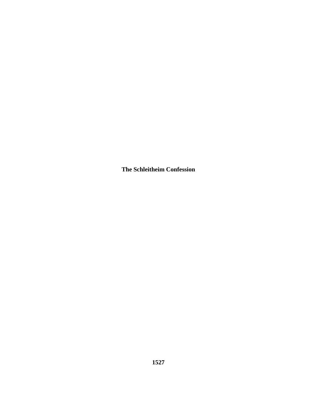**The Schleitheim Confession**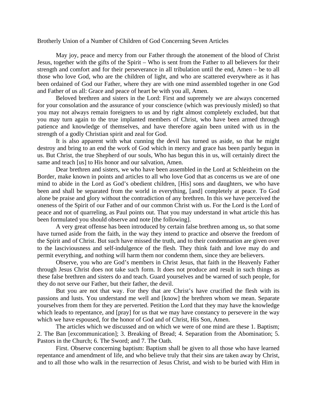## Brotherly Union of a Number of Children of God Concerning Seven Articles

 May joy, peace and mercy from our Father through the atonement of the blood of Christ Jesus, together with the gifts of the Spirit – Who is sent from the Father to all believers for their strength and comfort and for their perseverance in all tribulation until the end, Amen – be to all those who love God, who are the children of light, and who are scattered everywhere as it has been ordained of God our Father, where they are with one mind assembled together in one God and Father of us all: Grace and peace of heart be with you all, Amen.

 Beloved brethren and sisters in the Lord: First and supremely we are always concerned for your consolation and the assurance of your conscience (which was previously misled) so that you may not always remain foreigners to us and by right almost completely excluded, but that you may turn again to the true implanted members of Christ, who have been armed through patience and knowledge of themselves, and have therefore again been united with us in the strength of a godly Christian spirit and zeal for God.

 It is also apparent with what cunning the devil has turned us aside, so that he might destroy and bring to an end the work of God which in mercy and grace has been partly begun in us. But Christ, the true Shepherd of our souls, Who has begun this in us, will certainly direct the same and teach [us] to His honor and our salvation, Amen.

 Dear brethren and sisters, we who have been assembled in the Lord at Schleitheim on the Border, make known in points and articles to all who love God that as concerns us we are of one mind to abide in the Lord as God's obedient children, [His] sons and daughters, we who have been and shall be separated from the world in everything, [and] completely at peace. To God alone be praise and glory without the contradiction of any brethren. In this we have perceived the oneness of the Spirit of our Father and of our common Christ with us. For the Lord is the Lord of peace and not of quarreling, as Paul points out. That you may understand in what article this has been formulated you should observe and note [the following].

 A very great offense has been introduced by certain false brethren among us, so that some have turned aside from the faith, in the way they intend to practice and observe the freedom of the Spirit and of Christ. But such have missed the truth, and to their condemnation are given over to the lasciviousness and self-indulgence of the flesh. They think faith and love may do and permit everything, and nothing will harm them nor condemn them, since they are believers.

 Observe, you who are God's members in Christ Jesus, that faith in the Heavenly Father through Jesus Christ does not take such form. It does not produce and result in such things as these false brethren and sisters do and teach. Guard yourselves and be warned of such people, for they do not serve our Father, but their father, the devil.

 But you are not that way. For they that are Christ's have crucified the flesh with its passions and lusts. You understand me well and [know] the brethren whom we mean. Separate yourselves from them for they are perverted. Petition the Lord that they may have the knowledge which leads to repentance, and [pray] for us that we may have constancy to persevere in the way which we have espoused, for the honor of God and of Christ, His Son, Amen.

 The articles which we discussed and on which we were of one mind are these 1. Baptism; 2. The Ban [excommunication]; 3. Breaking of Bread; 4. Separation from the Abomination; 5. Pastors in the Church; 6. The Sword; and 7. The Oath.

 First. Observe concerning baptism: Baptism shall be given to all those who have learned repentance and amendment of life, and who believe truly that their sins are taken away by Christ, and to all those who walk in the resurrection of Jesus Christ, and wish to be buried with Him in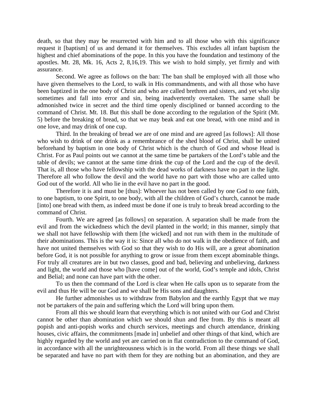death, so that they may be resurrected with him and to all those who with this significance request it [baptism] of us and demand it for themselves. This excludes all infant baptism the highest and chief abominations of the pope. In this you have the foundation and testimony of the apostles. Mt. 28, Mk. 16, Acts 2, 8,16,19. This we wish to hold simply, yet firmly and with assurance.

 Second. We agree as follows on the ban: The ban shall be employed with all those who have given themselves to the Lord, to walk in His commandments, and with all those who have been baptized in the one body of Christ and who are called brethren and sisters, and yet who slip sometimes and fall into error and sin, being inadvertently overtaken. The same shall be admonished twice in secret and the third time openly disciplined or banned according to the command of Christ. Mt. 18. But this shall be done according to the regulation of the Spirit (Mt. 5) before the breaking of bread, so that we may beak and eat one bread, with one mind and in one love, and may drink of one cup.

 Third. In the breaking of bread we are of one mind and are agreed [as follows]: All those who wish to drink of one drink as a remembrance of the shed blood of Christ, shall be united beforehand by baptism in one body of Christ which is the church of God and whose Head is Christ. For as Paul points out we cannot at the same time be partakers of the Lord's table and the table of devils; we cannot at the same time drink the cup of the Lord and the cup of the devil. That is, all those who have fellowship with the dead works of darkness have no part in the light. Therefore all who follow the devil and the world have no part with those who are called unto God out of the world. All who lie in the evil have no part in the good.

 Therefore it is and must be [thus]: Whoever has not been called by one God to one faith, to one baptism, to one Spirit, to one body, with all the children of God's church, cannot be made [into] one bread with them, as indeed must be done if one is truly to break bread according to the command of Christ.

 Fourth. We are agreed [as follows] on separation. A separation shall be made from the evil and from the wickedness which the devil planted in the world; in this manner, simply that we shall not have fellowship with them [the wicked] and not run with them in the multitude of their abominations. This is the way it is: Since all who do not walk in the obedience of faith, and have not united themselves with God so that they wish to do His will, are a great abomination before God, it is not possible for anything to grow or issue from them except abominable things. For truly all creatures are in but two classes, good and bad, believing and unbelieving, darkness and light, the world and those who [have come] out of the world, God's temple and idols, Christ and Belial; and none can have part with the other.

 To us then the command of the Lord is clear when He calls upon us to separate from the evil and thus He will be our God and we shall be His sons and daughters.

 He further admonishes us to withdraw from Babylon and the earthly Egypt that we may not be partakers of the pain and suffering which the Lord will bring upon them.

 From all this we should learn that everything which is not united with our God and Christ cannot be other than abomination which we should shun and flee from. By this is meant all popish and anti-popish works and church services, meetings and church attendance, drinking houses, civic affairs, the commitments [made in] unbelief and other things of that kind, which are highly regarded by the world and yet are carried on in flat contradiction to the command of God, in accordance with all the unrighteousness which is in the world. From all these things we shall be separated and have no part with them for they are nothing but an abomination, and they are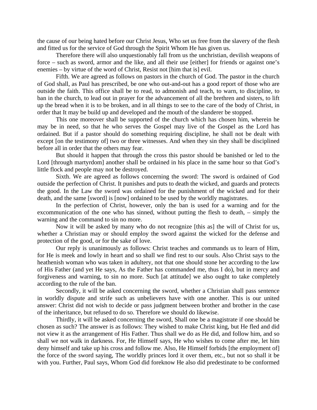the cause of our being hated before our Christ Jesus, Who set us free from the slavery of the flesh and fitted us for the service of God through the Spirit Whom He has given us.

 Therefore there will also unquestionably fall from us the unchristian, devilish weapons of force – such as sword, armor and the like, and all their use [either] for friends or against one's enemies – by virtue of the word of Christ, Resist not [him that is] evil.

 Fifth. We are agreed as follows on pastors in the church of God. The pastor in the church of God shall, as Paul has prescribed, be one who out-and-out has a good report of those who are outside the faith. This office shall be to read, to admonish and teach, to warn, to discipline, to ban in the church, to lead out in prayer for the advancement of all the brethren and sisters, to lift up the bread when it is to be broken, and in all things to see to the care of the body of Christ, in order that It may be build up and developed and the mouth of the slanderer be stopped.

 This one moreover shall be supported of the church which has chosen him, wherein he may be in need, so that he who serves the Gospel may live of the Gospel as the Lord has ordained. But if a pastor should do something requiring discipline, he shall not be dealt with except [on the testimony of] two or three witnesses. And when they sin they shall be disciplined before all in order that the others may fear.

 But should it happen that through the cross this pastor should be banished or led to the Lord [through martyrdom] another shall be ordained in his place in the same hour so that God's little flock and people may not be destroyed.

 Sixth. We are agreed as follows concerning the sword: The sword is ordained of God outside the perfection of Christ. It punishes and puts to death the wicked, and guards and protects the good. In the Law the sword was ordained for the punishment of the wicked and for their death, and the same [sword] is [now] ordained to be used by the worldly magistrates.

 In the perfection of Christ, however, only the ban is used for a warning and for the excommunication of the one who has sinned, without putting the flesh to death, – simply the warning and the command to sin no more.

 Now it will be asked by many who do not recognize [this as] the will of Christ for us, whether a Christian may or should employ the sword against the wicked for the defense and protection of the good, or for the sake of love.

 Our reply is unanimously as follows: Christ teaches and commands us to learn of Him, for He is meek and lowly in heart and so shall we find rest to our souls. Also Christ says to the heathenish woman who was taken in adultery, not that one should stone her according to the law of His Father (and yet He says, As the Father has commanded me, thus I do), but in mercy and forgiveness and warning, to sin no more. Such [at attitude] we also ought to take completely according to the rule of the ban.

 Secondly, it will be asked concerning the sword, whether a Christian shall pass sentence in worldly dispute and strife such as unbelievers have with one another. This is our united answer: Christ did not wish to decide or pass judgment between brother and brother in the case of the inheritance, but refused to do so. Therefore we should do likewise.

 Thirdly, it will be asked concerning the sword, Shall one be a magistrate if one should be chosen as such? The answer is as follows: They wished to make Christ king, but He fled and did not view it as the arrangement of His Father. Thus shall we do as He did, and follow him, and so shall we not walk in darkness. For, He Himself says, He who wishes to come after me, let him deny himself and take up his cross and follow me. Also, He Himself forbids [the employment of] the force of the sword saying, The worldly princes lord it over them, etc., but not so shall it be with you. Further, Paul says, Whom God did foreknow He also did predestinate to be conformed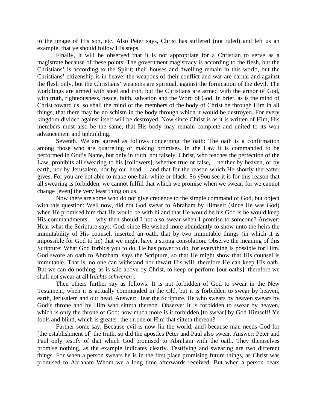to the image of His son, etc. Also Peter says, Christ has suffered (not ruled) and left us an example, that ye should follow His steps.

 Finally, it will be observed that it is not appropriate for a Christian to serve as a magistrate because of these points: The government magistracy is according to the flesh, but the Christians' is according to the Spirit; their houses and dwelling remain in this world, but the Christians' citizenship is in heave; the weapons of their conflict and war are carnal and against the flesh only, but the Christians' weapons are spiritual, against the fornication of the devil. The worldlings are armed with steel and iron, but the Christians are armed with the armor of God, with truth, righteousness, peace, faith, salvation and the Word of God. In brief, as is the mind of Christ toward us, so shall the mind of the members of the body of Christ be through Him in all things, that there may be no schism in the body through which it would be destroyed. For every kingdom divided against itself will be destroyed. Now since Christ is as it is written of Him, His members must also be the same, that His body may remain complete and united to its won advancement and upbuilding.

 Seventh. We are agreed as follows concerning the oath: The oath is a confirmation among those who are quarreling or making promises. In the Law it is commanded to be performed in God's Name, but only in truth, not falsely. Christ, who teaches the perfection of the Law, prohibits all swearing to his [followers], whether true or false, – neither by heaven, or by earth, nor by Jerusalem, nor by our head, – and that for the reason which He shortly thereafter gives, For you are not able to make one hair white or black. So y9ou see it is for this reason that all swearing is forbidden: we cannot fulfill that which we promise when we swear, for we cannot change [even] the very least thing on us.

 Now there are some who do not give credence to the simple command of God, but object with this question: Well now, did not God swear to Abraham by Himself (since He was God) when He promised him that He would be with hi and that He would be his God is he would keep His commandments, – why then should I not also swear when I promise to someone? Answer: Hear what the Scripture says: God, since He wished more abundantly to show unto the heirs the immutability of His counsel, inserted an oath, that by two immutable things (in which it is impossible for God to lie) that we might have a strong consolation. Observe the meaning of this Scripture: What God forbids you to do, He has power to do, for everything is possible for Him. God swore an oath to Abraham, says the Scripture, so that He might show that His counsel is immutable. That is, no one can withstand nor thwart His will; therefore He can keep His oath. But we can do nothing, as is said above by Christ, to keep or perform [our oaths]: therefore we shall not swear at all [*nichts schweren*].

 Then others further say as follows: It is not forbidden of God to swear in the New Testament, when it is actually commanded in the Old, but it is forbidden to swear by heaven, earth, Jerusalem and our head. Answer: Hear the Scripture, He who swears by heaven swears by God's throne and by Him who sitteth thereon. Observe: It is forbidden to swear by heaven, which is only the throne of God: how much more is it forbidden [to swear] by God Himself! Ye fools and blind, which is greater, the throne or Him that sitteth thereon?

 Further some say, Because evil is now [in the world, and] because man needs God for [the establishment of] the truth, so did the apostles Peter and Paul also swear. Answer: Peter and Paul only testify of that which God promised to Abraham with the oath. They themselves promise nothing, as the example indicates clearly. Testifying and swearing are two different things. For when a person swears he is in the first place promising future things, as Christ was promised to Abraham Whom we a long time afterwards received. But when a person bears